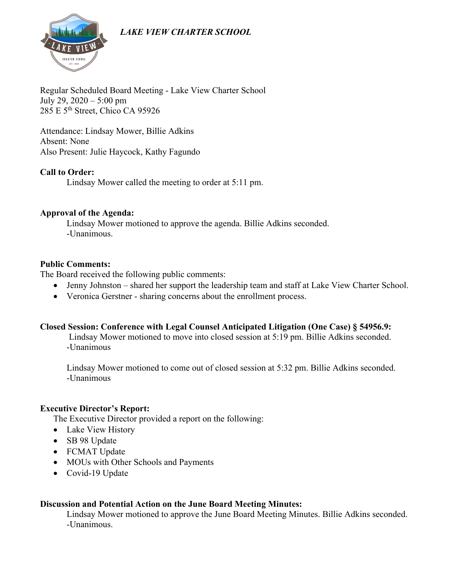# *LAKE VIEW CHARTER SCHOOL*



Regular Scheduled Board Meeting - Lake View Charter School July 29, 2020 – 5:00 pm 285 E 5th Street, Chico CA 95926

Attendance: Lindsay Mower, Billie Adkins Absent: None Also Present: Julie Haycock, Kathy Fagundo

#### **Call to Order:**

Lindsay Mower called the meeting to order at 5:11 pm.

#### **Approval of the Agenda:**

Lindsay Mower motioned to approve the agenda. Billie Adkins seconded. -Unanimous.

#### **Public Comments:**

The Board received the following public comments:

- Jenny Johnston shared her support the leadership team and staff at Lake View Charter School.
- Veronica Gerstner sharing concerns about the enrollment process.

#### **Closed Session: Conference with Legal Counsel Anticipated Litigation (One Case) § 54956.9:**

Lindsay Mower motioned to move into closed session at 5:19 pm. Billie Adkins seconded. -Unanimous

Lindsay Mower motioned to come out of closed session at 5:32 pm. Billie Adkins seconded. -Unanimous

#### **Executive Director's Report:**

The Executive Director provided a report on the following:

- Lake View History
- SB 98 Update
- FCMAT Update
- MOUs with Other Schools and Payments
- Covid-19 Update

#### **Discussion and Potential Action on the June Board Meeting Minutes:**

Lindsay Mower motioned to approve the June Board Meeting Minutes. Billie Adkins seconded. -Unanimous.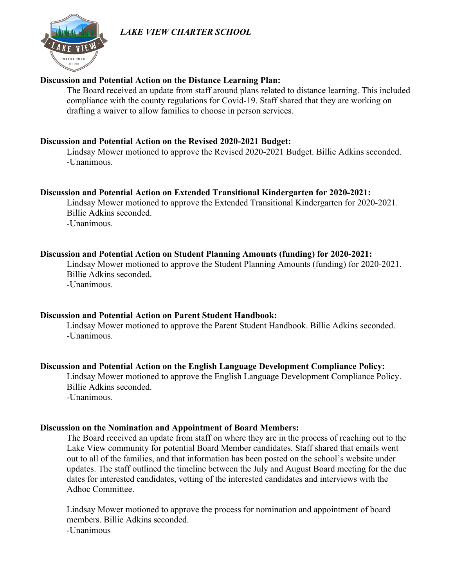# *LAKE VIEW CHARTER SCHOOL*



#### **Discussion and Potential Action on the Distance Learning Plan:**

The Board received an update from staff around plans related to distance learning. This included compliance with the county regulations for Covid-19. Staff shared that they are working on drafting a waiver to allow families to choose in person services.

#### **Discussion and Potential Action on the Revised 2020-2021 Budget:**

Lindsay Mower motioned to approve the Revised 2020-2021 Budget. Billie Adkins seconded. -Unanimous.

#### **Discussion and Potential Action on Extended Transitional Kindergarten for 2020-2021:**

Lindsay Mower motioned to approve the Extended Transitional Kindergarten for 2020-2021. Billie Adkins seconded. -Unanimous.

#### **Discussion and Potential Action on Student Planning Amounts (funding) for 2020-2021:**

Lindsay Mower motioned to approve the Student Planning Amounts (funding) for 2020-2021. Billie Adkins seconded. -Unanimous.

#### **Discussion and Potential Action on Parent Student Handbook:**

Lindsay Mower motioned to approve the Parent Student Handbook. Billie Adkins seconded. -Unanimous.

#### **Discussion and Potential Action on the English Language Development Compliance Policy:**

Lindsay Mower motioned to approve the English Language Development Compliance Policy. Billie Adkins seconded.

-Unanimous.

#### **Discussion on the Nomination and Appointment of Board Members:**

The Board received an update from staff on where they are in the process of reaching out to the Lake View community for potential Board Member candidates. Staff shared that emails went out to all of the families, and that information has been posted on the school's website under updates. The staff outlined the timeline between the July and August Board meeting for the due dates for interested candidates, vetting of the interested candidates and interviews with the Adhoc Committee.

Lindsay Mower motioned to approve the process for nomination and appointment of board members. Billie Adkins seconded. -Unanimous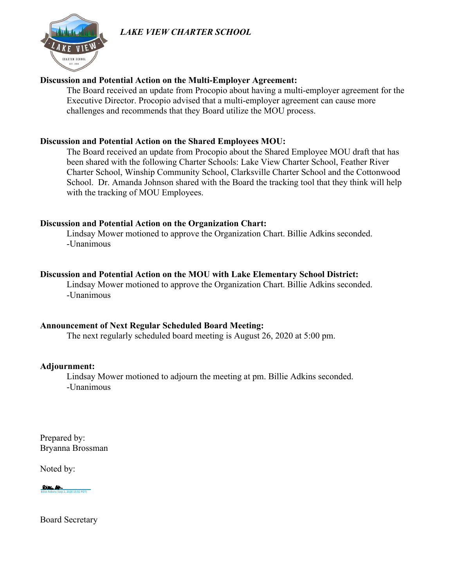# *LAKE VIEW CHARTER SCHOOL*



#### **Discussion and Potential Action on the Multi-Employer Agreement:**

The Board received an update from Procopio about having a multi-employer agreement for the Executive Director. Procopio advised that a multi-employer agreement can cause more challenges and recommends that they Board utilize the MOU process.

#### **Discussion and Potential Action on the Shared Employees MOU:**

The Board received an update from Procopio about the Shared Employee MOU draft that has been shared with the following Charter Schools: Lake View Charter School, Feather River Charter School, Winship Community School, Clarksville Charter School and the Cottonwood School. Dr. Amanda Johnson shared with the Board the tracking tool that they think will help with the tracking of MOU Employees.

#### **Discussion and Potential Action on the Organization Chart:**

Lindsay Mower motioned to approve the Organization Chart. Billie Adkins seconded. -Unanimous

#### **Discussion and Potential Action on the MOU with Lake Elementary School District:**

Lindsay Mower motioned to approve the Organization Chart. Billie Adkins seconded. -Unanimous

#### **Announcement of Next Regular Scheduled Board Meeting:**

The next regularly scheduled board meeting is August 26, 2020 at 5:00 pm.

#### **Adjournment:**

Lindsay Mower motioned to adjourn the meeting at pm. Billie Adkins seconded. -Unanimous

Prepared by: Bryanna Brossman

Noted by:

Rier Al-[Billie Adkins \(Sep 2, 2020 15:51 PDT\)](https://na2.documents.adobe.com/verifier?tx=CBJCHBCAABAAvdie_-I6ov0oQuCN2Sza4Bf4dv2f8wRA)

Board Secretary